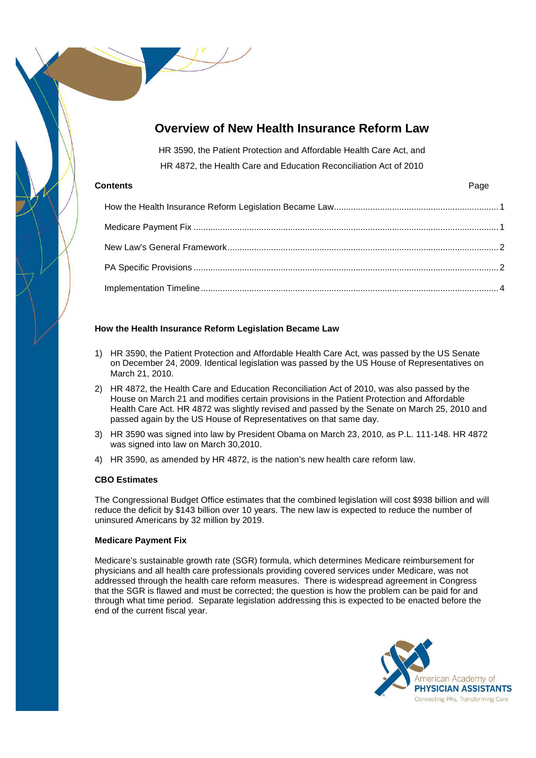# **Overview of New Health Insurance Reform Law**

HR 3590, the Patient Protection and Affordable Health Care Act, and HR 4872, the Health Care and Education Reconciliation Act of 2010

# **Contents** Page

# **How the Health Insurance Reform Legislation Became Law**

- 1) HR 3590, the Patient Protection and Affordable Health Care Act, was passed by the US Senate on December 24, 2009. Identical legislation was passed by the US House of Representatives on March 21, 2010.
- 2) HR 4872, the Health Care and Education Reconciliation Act of 2010, was also passed by the House on March 21 and modifies certain provisions in the Patient Protection and Affordable Health Care Act. HR 4872 was slightly revised and passed by the Senate on March 25, 2010 and passed again by the US House of Representatives on that same day.
- 3) HR 3590 was signed into law by President Obama on March 23, 2010, as P.L. 111-148. HR 4872 was signed into law on March 30,2010.
- 4) HR 3590, as amended by HR 4872, is the nation's new health care reform law.

# **CBO Estimates**

The Congressional Budget Office estimates that the combined legislation will cost \$938 billion and will reduce the deficit by \$143 billion over 10 years. The new law is expected to reduce the number of uninsured Americans by 32 million by 2019.

# **Medicare Payment Fix**

Medicare's sustainable growth rate (SGR) formula, which determines Medicare reimbursement for physicians and all health care professionals providing covered services under Medicare, was not addressed through the health care reform measures. There is widespread agreement in Congress that the SGR is flawed and must be corrected; the question is how the problem can be paid for and through what time period. Separate legislation addressing this is expected to be enacted before the end of the current fiscal year.

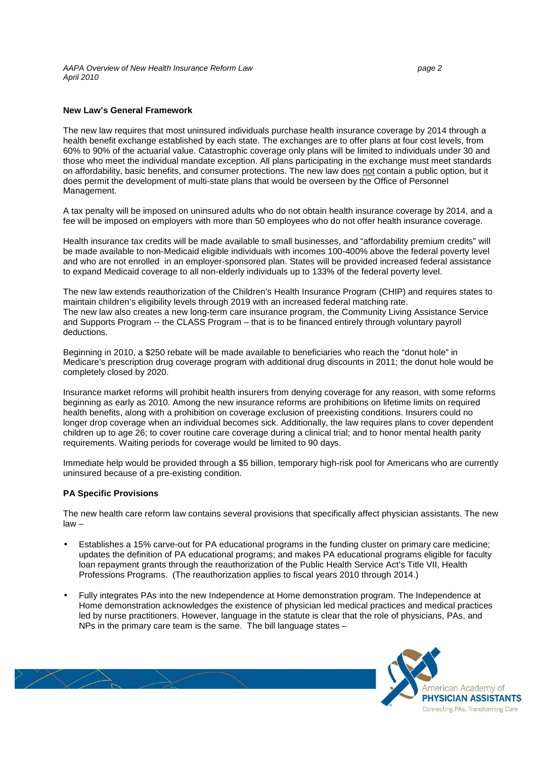AAPA Overview of New Health Insurance Reform Law page 2 April 2010

### **New Law's General Framework**

The new law requires that most uninsured individuals purchase health insurance coverage by 2014 through a health benefit exchange established by each state. The exchanges are to offer plans at four cost levels, from 60% to 90% of the actuarial value. Catastrophic coverage only plans will be limited to individuals under 30 and those who meet the individual mandate exception. All plans participating in the exchange must meet standards on affordability, basic benefits, and consumer protections. The new law does not contain a public option, but it does permit the development of multi-state plans that would be overseen by the Office of Personnel Management.

A tax penalty will be imposed on uninsured adults who do not obtain health insurance coverage by 2014, and a fee will be imposed on employers with more than 50 employees who do not offer health insurance coverage.

Health insurance tax credits will be made available to small businesses, and "affordability premium credits" will be made available to non-Medicaid eligible individuals with incomes 100-400% above the federal poverty level and who are not enrolled in an employer-sponsored plan. States will be provided increased federal assistance to expand Medicaid coverage to all non-elderly individuals up to 133% of the federal poverty level.

The new law extends reauthorization of the Children's Health Insurance Program (CHIP) and requires states to maintain children's eligibility levels through 2019 with an increased federal matching rate. The new law also creates a new long-term care insurance program, the Community Living Assistance Service and Supports Program -- the CLASS Program – that is to be financed entirely through voluntary payroll deductions.

Beginning in 2010, a \$250 rebate will be made available to beneficiaries who reach the "donut hole" in Medicare's prescription drug coverage program with additional drug discounts in 2011; the donut hole would be completely closed by 2020.

Insurance market reforms will prohibit health insurers from denying coverage for any reason, with some reforms beginning as early as 2010. Among the new insurance reforms are prohibitions on lifetime limits on required health benefits, along with a prohibition on coverage exclusion of preexisting conditions. Insurers could no longer drop coverage when an individual becomes sick. Additionally, the law requires plans to cover dependent children up to age 26; to cover routine care coverage during a clinical trial; and to honor mental health parity requirements. Waiting periods for coverage would be limited to 90 days.

Immediate help would be provided through a \$5 billion, temporary high-risk pool for Americans who are currently uninsured because of a pre-existing condition.

## **PA Specific Provisions**

The new health care reform law contains several provisions that specifically affect physician assistants. The new law –

- Establishes a 15% carve-out for PA educational programs in the funding cluster on primary care medicine; updates the definition of PA educational programs; and makes PA educational programs eligible for faculty loan repayment grants through the reauthorization of the Public Health Service Act's Title VII, Health Professions Programs. (The reauthorization applies to fiscal years 2010 through 2014.)
- Fully integrates PAs into the new Independence at Home demonstration program. The Independence at Home demonstration acknowledges the existence of physician led medical practices and medical practices led by nurse practitioners. However, language in the statute is clear that the role of physicians, PAs, and NPs in the primary care team is the same. The bill language states –

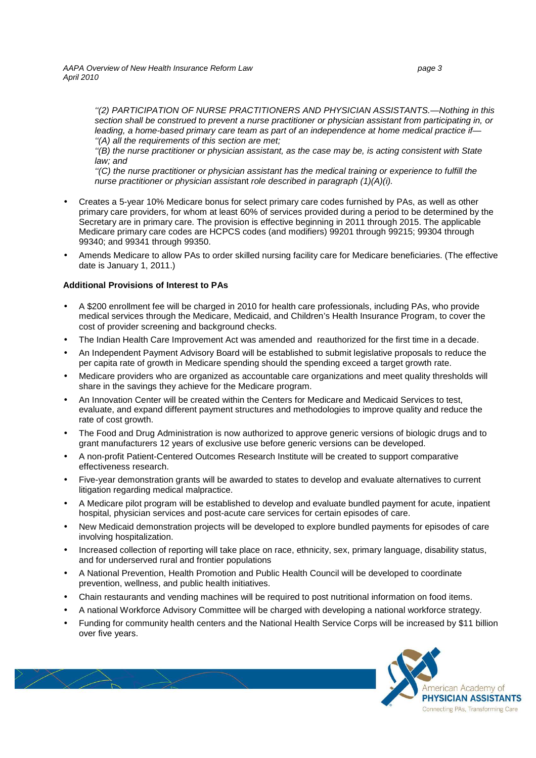AAPA Overview of New Health Insurance Reform Law page 3 April 2010

''(2) PARTICIPATION OF NURSE PRACTITIONERS AND PHYSICIAN ASSISTANTS.—Nothing in this section shall be construed to prevent a nurse practitioner or physician assistant from participating in, or leading, a home-based primary care team as part of an independence at home medical practice if— ''(A) all the requirements of this section are met;

"(B) the nurse practitioner or physician assistant, as the case may be, is acting consistent with State law; and

''(C) the nurse practitioner or physician assistant has the medical training or experience to fulfill the nurse practitioner or physician assistant role described in paragraph (1)(A)(i).

- Creates a 5-year 10% Medicare bonus for select primary care codes furnished by PAs, as well as other primary care providers, for whom at least 60% of services provided during a period to be determined by the Secretary are in primary care. The provision is effective beginning in 2011 through 2015. The applicable Medicare primary care codes are HCPCS codes (and modifiers) 99201 through 99215; 99304 through 99340; and 99341 through 99350.
- Amends Medicare to allow PAs to order skilled nursing facility care for Medicare beneficiaries. (The effective date is January 1, 2011.)

## **Additional Provisions of Interest to PAs**

- A \$200 enrollment fee will be charged in 2010 for health care professionals, including PAs, who provide medical services through the Medicare, Medicaid, and Children's Health Insurance Program, to cover the cost of provider screening and background checks.
- The Indian Health Care Improvement Act was amended and reauthorized for the first time in a decade.
- An Independent Payment Advisory Board will be established to submit legislative proposals to reduce the per capita rate of growth in Medicare spending should the spending exceed a target growth rate.
- Medicare providers who are organized as accountable care organizations and meet quality thresholds will share in the savings they achieve for the Medicare program.
- An Innovation Center will be created within the Centers for Medicare and Medicaid Services to test, evaluate, and expand different payment structures and methodologies to improve quality and reduce the rate of cost growth.
- The Food and Drug Administration is now authorized to approve generic versions of biologic drugs and to grant manufacturers 12 years of exclusive use before generic versions can be developed.
- A non-profit Patient-Centered Outcomes Research Institute will be created to support comparative effectiveness research.
- Five-year demonstration grants will be awarded to states to develop and evaluate alternatives to current litigation regarding medical malpractice.
- A Medicare pilot program will be established to develop and evaluate bundled payment for acute, inpatient hospital, physician services and post-acute care services for certain episodes of care.
- New Medicaid demonstration projects will be developed to explore bundled payments for episodes of care involving hospitalization.
- Increased collection of reporting will take place on race, ethnicity, sex, primary language, disability status, and for underserved rural and frontier populations
- A National Prevention, Health Promotion and Public Health Council will be developed to coordinate prevention, wellness, and public health initiatives.
- Chain restaurants and vending machines will be required to post nutritional information on food items.
- A national Workforce Advisory Committee will be charged with developing a national workforce strategy.
- Funding for community health centers and the National Health Service Corps will be increased by \$11 billion over five years.